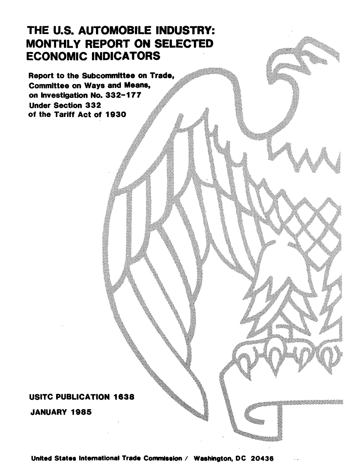# THE U.S. AUTOMOBILE INDUSTRY: MONTHLY REPORT ON SELECTED ECONOMIC INDICATORS

Report to the Subcommittee on Trade, Committee on Ways and Means, on Investigation No. 332-177 **Under Section 332** of the Tariff Act of 1930

## USITC PUBLICATION 1638

JANUARY 1985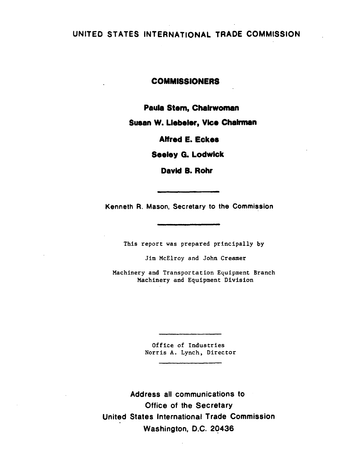### UNITED STATES INTERNATIONAL TRADE COMMISSION

#### COMMISSIONERS

Paula Stem, Chairwoman

Susan W. Llebeler, Vice Chairman

Alfred E. Eckes

Seeley G. Lodwick

David 8. Rohr

Kenneth R. Mason, Secretary to the Commission

This report was prepared principally by

Jim McElroy and John Creamer

Machinery and Transportation Equipment Branch Machinery and Equipment Division

> Office of Industries Norris A. Lynch, Director

Address all communications to Office of the Secretary United States International Trade Commission Washington, D.C. 20436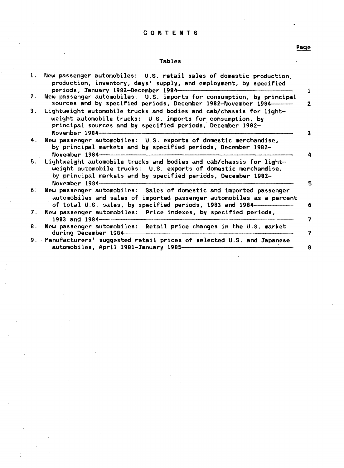#### CONTENTS

#### Tables

| 1.             | New passenger automobiles: U.S. retail sales of domestic production,<br>production, inventory, days' supply, and employment, by specified<br>periods, January 1983-December 1984-                                            |
|----------------|------------------------------------------------------------------------------------------------------------------------------------------------------------------------------------------------------------------------------|
| 2.             | New passenger automobiles: U.S. imports for consumption, by principal<br>sources and by specified periods, December 1982-November 1984-                                                                                      |
| 3.             | Lightweight automobile trucks and bodies and cab/chassis for light-<br>weight automobile trucks: U.S. imports for consumption, by<br>principal sources and by specified periods, December 1982-<br>November 1984-            |
| 4.             | New passenger automobiles: U.S. exports of domestic merchandise,<br>by principal markets and by specified periods, December 1982-<br>November $1984$ -                                                                       |
|                | 5. Lightweight automobile trucks and bodies and cab/chassis for light-<br>weight automobile trucks: U.S. exports of domestic merchandise,<br>by principal markets and by specified periods, December 1982-<br>November 1984- |
| 6.             | New passenger automobiles: Sales of domestic and imported passenger<br>automobiles and sales of imported passenger automobiles as a percent<br>of total U.S. sales, by specified periods, 1983 and 1984-                     |
| 7 <sub>1</sub> | New passenger automobiles: Price indexes, by specified periods,<br>1983 and 1984-                                                                                                                                            |
| 8.             | New passenger automobiles: Retail price changes in the U.S. market<br>during December 1984-                                                                                                                                  |
|                | 9. Manufacturers' suggested retail prices of selected U.S. and Japanese<br>automobiles, April 1981-January 1985-                                                                                                             |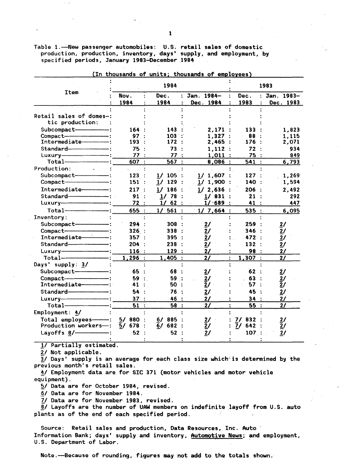Table 1.-New passenger automobiles: U.S. retail sales of domestic production, production, inventory, days' supply, and employment, by specified periods, January 1983-December 1984

|                                      |              | 1984                 | 1983                    |              |                         |
|--------------------------------------|--------------|----------------------|-------------------------|--------------|-------------------------|
| <b>Item</b>                          | Nov.<br>1984 | Dec.<br>1984         | Jan. 1984-<br>Dec. 1984 | Dec.<br>1983 | Jan. 1983-<br>Dec. 1983 |
|                                      |              |                      |                         |              |                         |
| Retail sales of domes-:              |              |                      |                         |              |                         |
| tic production:                      |              |                      |                         |              |                         |
| Subcompact-                          | 164          | 143                  | 2,171:                  | 133          | 1,823                   |
|                                      | 97:          | 103:                 | 1,327:                  | 88 :         | 1,115                   |
| Intermediate -----------             | 193:         | 172:                 | 2,465:                  | 176:         | 2,071                   |
|                                      | 75 :         | 73                   | 1,112:                  | 72:          | 934                     |
|                                      | 77:          | 77 :                 | $1,011$ :               | 75 :         | 849                     |
|                                      | 607 :        | 567:                 | $8,086$ :               | 541:         | 6,793                   |
| Production:<br>$\sim$                |              |                      |                         |              |                         |
| Subcompact-                          | 123:         | 1/105                | $1/1,607$ :<br>÷.       | 127:         | 1,269                   |
| Compact-                             | 151:         | $1/129$ :            | $1/1,900$ :             | 140:         | 1,594                   |
| Intermediate------------             | 217:         | 1/186<br>$\cdot$ :   | $1/2,636$ :             | 206 :        | 2,492                   |
|                                      | 91:          | $1/78$ :             | $1/831$ :               | 21           | 292                     |
|                                      | 72:          | $1/62$ :             | $1/$ 689 :              | 41           | 447                     |
|                                      | 655 :        | 561:<br>$1/\sqrt{2}$ | 1/7,664:                | 535:         | 6,095                   |
| Inventory:                           |              |                      |                         |              |                         |
| Subcompact-                          | 294:         | 308:                 | $\overline{2}$ /        | 259          | $\overline{2}$ /        |
| Compact-                             | 326:         | 338:                 | 2/                      | 346:         | 2/                      |
| Intermediate <sup>------------</sup> | 357:         | 395:                 | $\overline{2}$ /        | 472:         | 2/                      |
|                                      | 204:         | 238<br>$\cdot$ :     | 2/                      | 132:         | 2/                      |
|                                      | 116:         | 129:                 | $\mathbf{2}$            | 98           | 21 <sup>2</sup>         |
|                                      |              |                      |                         |              | 21                      |
| Days' supply: 3/                     | 1,296:       | $1,405$ :            | $\mathbf{2}$            | 1,307:       |                         |
| Subcompact----------------           | 65.          | 68 :                 |                         | 62.          |                         |
| $Compare t$ = $:$                    | 59:          | 59 :                 | $\overline{2}$ /        | 63           | $\overline{2}$ /        |
| Intermediate----------               | 41 :         | 50<br>$\cdot$ :      | 2/<br>$\bar{2}$ /       | 57           | $\frac{2}{2}$ /         |
|                                      |              |                      |                         |              |                         |
|                                      | 54           | 76<br>$\cdot$        | 2/                      | 45           | $\mathbf{2}$            |
| $Luxury$ $\longrightarrow$           | 37:          | 46 :                 | $\mathbf{2}$            | 34           | 2/                      |
| $Total$ $\overline{\phantom{a}}$     | 51:          | 58 :                 | 2/                      | 55:          | 21                      |
| Employment: $4/$                     |              |                      |                         |              |                         |
| Total employees--- : 5/ 880          |              | 6/885                | 2/                      | 7/<br>832    | $\overline{21}$         |
| <b>Production workers—:</b>          | 5/678        | 6/682:               | $\bar{2}$ /             | 7/642        | $\overline{2}$ /        |
| Layoffs $8/$                         | 52           | 52                   | 2/                      | 107:         | 2/                      |
|                                      |              |                      |                         |              |                         |

(In thousands of units; thousands of employees)

1/ Partially estimated.

2/ Not applicable.

 $\overline{3}$ / Days' supply is an average for each class size which is determined by the previous month's retail sales.

4/ Employment data are for SIC 371 (motor vehicles and motor vehicle equipment).

5/ Data are for October 1984, revised.

6/ Data are for November 1984.

7/ Data are for November 1983, revised.

8/ Layoffs are the number of UAW members on indefinite layoff from U.S. auto plants as of the end of each specified period.

Source: Retail sales and production, Data Resources, Inc. Auto Information Bank; days' supply and inventory, Automotive News; and employment, U.S. Department of Labor.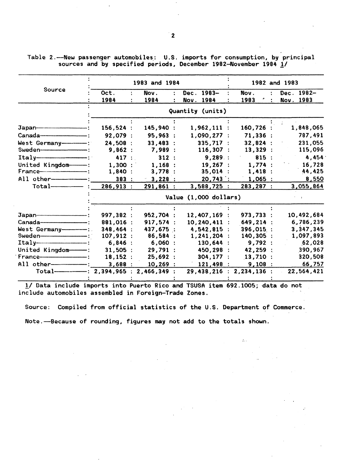Table 2.-New passenger automobiles: U.S. imports for consumption, by principal sources and by specified periods, December 1982-November 1984 1/

|                                |                                         | 1983 and 1984 |  |                          | 1982 and 1983 |                          |
|--------------------------------|-----------------------------------------|---------------|--|--------------------------|---------------|--------------------------|
| Source                         | Oct.                                    | Nov.          |  | Dec. 1983-               | Nov.          | Dec. 1982-               |
|                                | 1984                                    | 1984          |  | Nov. 1984                | 1983          | Nov. 1983                |
|                                |                                         |               |  | Quantity (units)         |               |                          |
|                                |                                         |               |  |                          |               |                          |
|                                | 156,524:                                | 145,940 :     |  | $1,962,111$ :            | $160,726$ :   | 1,848,065                |
|                                | 92,079 :                                | 95,963:       |  | $1,090,277$ :            | 71,336:       | 787,491                  |
| West Germany----------         | 24.508 :                                | $33,483$ :    |  | 335,717:                 | 32,824:       | 231,055                  |
|                                | 9,862:                                  | 7,989 :       |  | 116,307:                 | 13,329:       | 115,096                  |
| $Itally— \qquad \qquad \qquad$ | 417:                                    | 312:          |  | 9,289:                   | 815:          | 4,454                    |
| United Kingdom-1:              | 1,300:                                  | 1,168:        |  | 19,267:                  | 1,774:        | 16,728                   |
|                                | 1,840:                                  | 3,778:        |  | $35,014$ :               | 1,418:        | 44,425                   |
| All other--------------        | 383 :                                   | 3,228:        |  | 20,743:                  | $1,065$ :     | 8,550                    |
| $Total$ :                      | $286,913$ :                             | 291,861:      |  | 3,588,725:               | 283, 287:     | 3,055,864                |
|                                |                                         |               |  | Value (1,000 dollars)    |               |                          |
|                                |                                         |               |  |                          |               |                          |
|                                | 997,382 :                               | 952,704 :     |  | 12,407,169               | 973,733 :     | 10,492,684               |
|                                | 881,016 :                               | 917,574:      |  | 10,240,411               | $649, 214$ :  | 6,786,239                |
| West Germany-------            | 348,464 :                               | 437,675 :     |  | $4,542,815$ :            | $396,015$ :   | 3,347,345                |
|                                | 107,912:                                | 86,584:       |  | $1,241,204$ :            | $140,305$ :   | 1,097,893                |
| $Itally— \qquad \qquad \qquad$ | 6,846:                                  | 6,060:        |  | $130,644$ :              | 9,792:        | 62,028                   |
| United Kingdom---              | 31,505:                                 | 29,791 :      |  | 450,298                  | 42,259:       | 390,967                  |
|                                | 18,152:                                 | 25,692:       |  | 304,177:                 | $13,710$ :    | 320,508                  |
|                                | 3,688:                                  | 10,269:       |  | 121,498 :                | 9,108:        | 66,757                   |
|                                | $Total$ 70tal - 2,394,965 : 2,466,349 : |               |  | 29,438,216 : 2,234,136 : |               | 22,564,421<br>$\sim 100$ |

!/Data include imports into Puerto Rico and TSUSA item 692.1005; data do not include automobiles assembled in Foreign-Trade Zones.

Source: Compiled from official statistics of the U.S. Department of Commerce.

 $\mathbb{R}^3$  .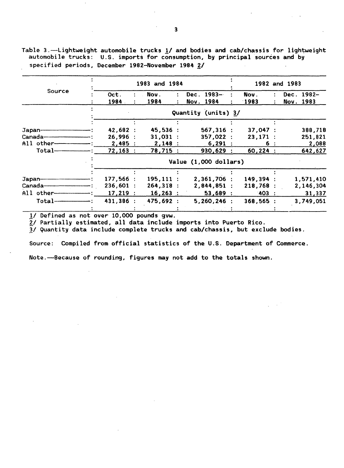Table 3.-Lightweight automobile trucks 1/ and bodies and cab/chassis for lightweight automobile trucks: U.S. imports for consumption, by principal sources and by specified periods, December 1982-November 1984 2/

|            |           | 1983 and 1984 | 1982 and 1983         |           |            |  |  |
|------------|-----------|---------------|-----------------------|-----------|------------|--|--|
| Source     | Oct.<br>÷ | Nov.<br>÷     | $1983 -$<br>Dec.      | Nov.      | Dec. 1982- |  |  |
|            | 1984.     | 1984<br>÷     | Nov. 1984             | 1983      | Nov. 1983  |  |  |
|            |           |               | Quantity (units) 3/   |           |            |  |  |
|            |           |               |                       |           |            |  |  |
| Japan-     | 42,682 :  | 45,536:       | $567,316$ :           | 37,047:   | 388,718    |  |  |
| Canada———— | 26.996:   | $31,031$ :    | 357,022:              | 23,171:   | 251,821    |  |  |
| All other- | 2,485:    | 2,148:        | 6,291:                | 6 :       | 2,088      |  |  |
| $Total$ —— | 72,163:   | 78,715 :      | 930,629               | 60,224:   | 642,627    |  |  |
|            |           |               | Value (1,000 dollars) |           |            |  |  |
|            |           |               |                       |           |            |  |  |
|            | 177,566:  | $195, 111$ :  | $2,361,706$ :         | 149,394 : | 1,571,410  |  |  |
| Canada———  | 236,601:  | 264,318:      | 2,844,851:            | 218,768:  | 2,146,304  |  |  |
| All other- | 17,219:   | $16,263$ :    | 53,689:               | $-403$ :  | 31,337     |  |  |
| $Total$ —— | 431,386 : | 475,692 :     | $5,260,246$ :         | 368,565:  | 3,749,051  |  |  |
|            |           |               |                       |           |            |  |  |

*11* Defined as not over 10,000 pounds gvw.

 $2/$  Partially estimated, all data include imports into Puerto Rico.

*11* Quantity data include complete trucks and cab/chassis, but exclude bodies.

Source: Compiled from official statistics of the U.S. Department of Commerce.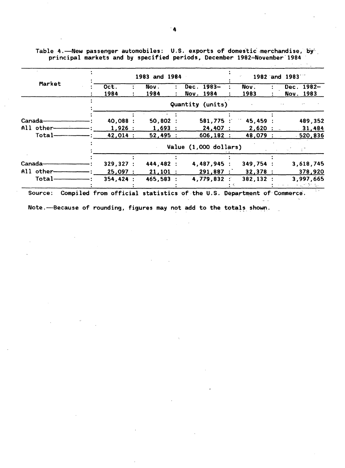|            |          | 1983 and 1984 |                       |           |           | 1982 and 1983 |            |
|------------|----------|---------------|-----------------------|-----------|-----------|---------------|------------|
| Market     | Oct.     | Nov.          | Dec. 1983-            |           | Nov.      |               | Dec. 1982- |
|            | 1984     | 1984          | Nov. 1984             |           | 1983      |               | Nov. 1983  |
|            |          |               | Quantity (units)      |           |           |               |            |
|            |          |               |                       |           |           |               |            |
| Canada—    | 40,088 : | 50,802        |                       | 581,775:  | 45,459    |               | 489,352    |
| All other- | 1,926:   | 1,693:        |                       | 24,407:   | 2,620:    |               | 31,484     |
| Total-     | 42,014 : | 52,495        |                       | 606,182   | 48,079 :  |               | 520,836    |
|            |          |               | Value (1,000 dollars) |           |           |               |            |
|            |          |               |                       |           |           |               |            |
| Canada—    | 329,327: | 444,482       |                       | 4,487,945 | 349,754   |               | 3,618,745  |
| All other- | 25,097:  | $21,101$ :    |                       | 291,887:  | 32,378:   |               | 378,920    |
| Total-     | 354,424: | 465,583       |                       | 4,779,832 | 382,132 : |               | 3,997,665  |
|            |          |               |                       |           |           |               | 光光の あいない   |

Table 4.-New passenger automobiles: U.S. exports of domestic merchandise, by principal markets and by specified periods, December 1982~November·1994

Source: Compiled from official statistics of. the U.S. Department of Commerce'.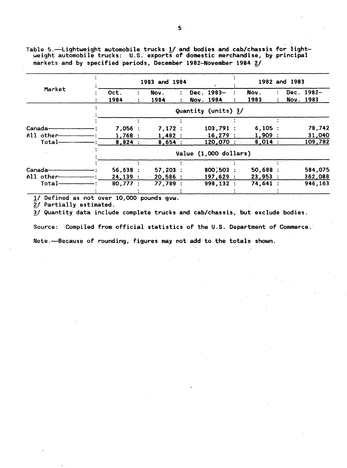Table 5.~Lightweight automobile trucks 1/ and bodies and cab/chassis for light- weight automobile trucks: U.S.· exports of domestic merchandise, by· principal markets and by specified periods, December 1982-November 1984  $2/$ 

|                                       |         | 1983 and 1984         |                     | 1982 and 1983 |            |  |  |  |  |  |  |  |
|---------------------------------------|---------|-----------------------|---------------------|---------------|------------|--|--|--|--|--|--|--|
| Market                                | Oct.    | Nov.<br>۰.            | Dec. 1983-          | Nov.          | Dec. 1982- |  |  |  |  |  |  |  |
|                                       | 1984    | 1984<br>÷             | Nov. 1984           | 1983          | Nov. 1983  |  |  |  |  |  |  |  |
|                                       |         |                       | Quantity (units) 3/ |               |            |  |  |  |  |  |  |  |
|                                       |         |                       |                     |               |            |  |  |  |  |  |  |  |
| Canada—                               | 7,056:  | 7,172:                | 103,791:            | 6,105:        | 78,742     |  |  |  |  |  |  |  |
| All other-                            | 1,768:  | 1,482:                | $16,279$ :          | 1,909:        | 31,040     |  |  |  |  |  |  |  |
| Total-                                | 8,824:  | 8,654:                | 120,070 :           | 8,014:        | 109,782    |  |  |  |  |  |  |  |
|                                       |         | Value (1,000 dollars) |                     |               |            |  |  |  |  |  |  |  |
|                                       |         |                       |                     |               |            |  |  |  |  |  |  |  |
| Canada—                               | 56,638: | 57,203:               | 800,503             | 50,688:       | 584,075    |  |  |  |  |  |  |  |
| $All$ other $\overline{\phantom{aa}}$ | 24,139: | 20,586                | 197,629:            | 23,953:       | 362,088    |  |  |  |  |  |  |  |
| $Total-$                              | 80.777: | 77,789:               | 998,132:            | 74,641:       | 946,163    |  |  |  |  |  |  |  |
|                                       |         |                       |                     |               |            |  |  |  |  |  |  |  |

!/ Defined as not over 10,000 pounds gvw.

2/ Partially estimated.

!/Quantity data include complete trucks and cab/chassis, but exclude bodies.

Source: Compiled from official statistics of the U.S. Department of Commerce.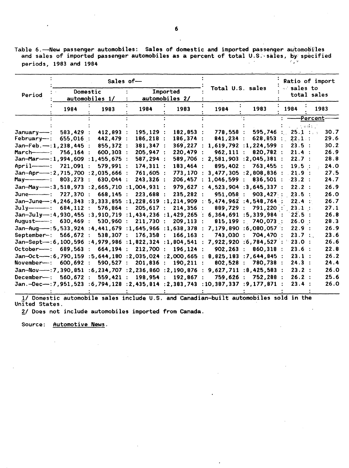Table 6. - New passenger automobiles: Sales of domestic and imported passenger automobiles and sales of imported passenger automobiles as a percent of total U.S.-sales, by: specified **periods, 1983 and 1984** 

|                                                                                                                                                      |                                                                                                                         | Sales of-                                                                                                                                                                                                                                                                                                                                                                                                                                                                                                                              |                                                                                                                                                                                |                                                                                                                                                                                                                           |                                                                                                                                                             |                                                                                                                                                                                                                                                                                                                                                            | Ratio of import<br>sales to<br>total sales                                                                                                                                                          |                                                                                                                                                              |  |
|------------------------------------------------------------------------------------------------------------------------------------------------------|-------------------------------------------------------------------------------------------------------------------------|----------------------------------------------------------------------------------------------------------------------------------------------------------------------------------------------------------------------------------------------------------------------------------------------------------------------------------------------------------------------------------------------------------------------------------------------------------------------------------------------------------------------------------------|--------------------------------------------------------------------------------------------------------------------------------------------------------------------------------|---------------------------------------------------------------------------------------------------------------------------------------------------------------------------------------------------------------------------|-------------------------------------------------------------------------------------------------------------------------------------------------------------|------------------------------------------------------------------------------------------------------------------------------------------------------------------------------------------------------------------------------------------------------------------------------------------------------------------------------------------------------------|-----------------------------------------------------------------------------------------------------------------------------------------------------------------------------------------------------|--------------------------------------------------------------------------------------------------------------------------------------------------------------|--|
| Period                                                                                                                                               |                                                                                                                         | Domestic<br>automobiles 1/                                                                                                                                                                                                                                                                                                                                                                                                                                                                                                             |                                                                                                                                                                                | Imported<br>automobiles 2/                                                                                                                                                                                                |                                                                                                                                                             | Total U.S. sales                                                                                                                                                                                                                                                                                                                                           |                                                                                                                                                                                                     |                                                                                                                                                              |  |
|                                                                                                                                                      | 1984                                                                                                                    | 1983                                                                                                                                                                                                                                                                                                                                                                                                                                                                                                                                   | 1984                                                                                                                                                                           | 1983                                                                                                                                                                                                                      | 1984                                                                                                                                                        | 1983                                                                                                                                                                                                                                                                                                                                                       | 1984                                                                                                                                                                                                | 1983                                                                                                                                                         |  |
|                                                                                                                                                      |                                                                                                                         |                                                                                                                                                                                                                                                                                                                                                                                                                                                                                                                                        |                                                                                                                                                                                |                                                                                                                                                                                                                           |                                                                                                                                                             |                                                                                                                                                                                                                                                                                                                                                            |                                                                                                                                                                                                     | <b>Percent-</b>                                                                                                                                              |  |
| $January--:$<br>February—:<br>$Jan-Feb. -: 1, 238, 445$ :<br>Jan-Mar-1.,994,609<br>April———: $721,091$<br>$A$ uqust———:<br>September-:<br>November—: | 583.429<br>655,016<br>756,164<br>803,273<br>727,370 :<br>684, 112:<br>$630,469$ :<br>566,672:<br>689,563 :<br>600,692 : | 412,893<br>442,479 :<br>855,372:<br>$600,303$ :<br>:1,455,675:<br>579,991 :<br>$Jan-Apr$ $-$ : 2, 715, 700 : 2, 035, 666 :<br>630,044 :<br>Jan-May--:3,518,973 :2,665,710 :1,004,931 :<br>$668, 145$ :<br>Jan-June-: 4, 246, 343 : 3, 333, 855 : 1, 228, 619 : 1, 214, 909<br>576,864:<br>530,960 :<br>Jan-Aug--15, 533, 924 : 4, 441, 679 : 1, 645, 966 : 1, 638, 378<br>538,307:<br>Jan-Sept--: 6, 100, 596 : 4, 979, 986 : 1, 822, 324 : 1, 804, 541<br>664,194 :<br>Jan-Oct--: 6,790,159:5,644,180:2,035,024:2,000,665<br>590,527: | 195,129 :<br>186,218<br>381,347 :<br>205,947 :<br>587,294 :<br>174,311:<br>761,605 :<br>243,326 :<br>223,688 :<br>205,617:<br>211,730 :<br>176,358 :<br>212,700 :<br>201,836 : | 182,853<br>186,374<br>369,227<br>220,479<br>589,706<br>183,464<br>773,170<br>206,457<br>979,627<br>235,282<br>214,356<br>$Jan-July-14,930,455:3,910,719:1,434,236:1,429,265$<br>209, 113<br>166,163<br>196,124<br>190,211 | 778,558:<br>841,234<br>962,111:<br>2,581,903<br>895,402 :<br>1,046,599<br>951,058<br>889,729 :<br>6,364,691<br>815,199<br>743,030 :<br>902, 263:<br>802,528 | 595,746<br>628,853<br>1,619,792 : 1,224,599 :<br>820,782 :<br>: 2,045,381<br>763,455:<br>$3,477,305$ : 2,808,836<br>836,501<br>4,523,904 :3,645,337 :<br>903,427:<br>: 5,474,962 : 4,548,764<br>791,220<br>:5,339,984<br>740,073 :<br>7,179,890 : 6,080,057 :<br>704,470<br>$7,922,920$ : 6,784,527 :<br>860,318 :<br>$8,825,183$ : 7,644,845 :<br>780,738 | 人名英捷尔<br>25.1 : .<br>22.1:<br>23.5:<br>21.4:<br>22.7:<br>19.5 :<br>21.9:<br>$-23.2$ :<br>22.2:<br>23.5<br>22.4 :<br>23.1:<br>22.5:<br>26.0 :<br>22.9:<br>23.7 :<br>23.0:<br>23.6:<br>23.1:<br>24.3: | 30.7<br>29.6<br>30.2<br>26.9<br>28.8<br>24.0<br>27.5<br>24.7<br>26.9<br>26.0<br>26.7<br>27.1<br>26.8<br>28.3<br>26.9<br>23.6<br>26.6<br>22.8<br>26.2<br>24.4 |  |
| December— :                                                                                                                                          | 560,672:                                                                                                                | Jan-Nov- $-$ : 7,390,851:6,234,707:2,236,860:2,190,876<br>559,421:                                                                                                                                                                                                                                                                                                                                                                                                                                                                     | 198,954 :                                                                                                                                                                      | 192,867                                                                                                                                                                                                                   | 759,626 :                                                                                                                                                   | 9,627,711 : 8,425,583 :<br>752,288 :                                                                                                                                                                                                                                                                                                                       | 23.2:<br>26.2:                                                                                                                                                                                      | 26.0<br>25.6                                                                                                                                                 |  |
|                                                                                                                                                      |                                                                                                                         | Jan.-Dec-:7,951,523 :6,794,128 :2,435,814 :2,383,743                                                                                                                                                                                                                                                                                                                                                                                                                                                                                   |                                                                                                                                                                                |                                                                                                                                                                                                                           |                                                                                                                                                             | : 10, 387, 337 : 9, 177, 871                                                                                                                                                                                                                                                                                                                               | 23.4 :                                                                                                                                                                                              | 26.0                                                                                                                                                         |  |

1/ Domestic automobile sales include U.S. and Canadian-built automobiles sold in the United States.

2/ Does not include automobiles imported from Canada.

Source: Automotive News.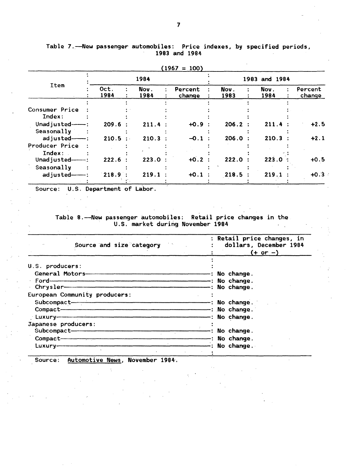|                                         |              |              | 1701 - 1001       |              |               |                   |  |  |  |
|-----------------------------------------|--------------|--------------|-------------------|--------------|---------------|-------------------|--|--|--|
|                                         |              | 1984         |                   |              | 1983 and 1984 |                   |  |  |  |
| <b>Item</b>                             | Oct.<br>1984 | Nov.<br>1984 | Percent<br>change | Nov.<br>1983 | Nov.<br>1984  | Percent<br>change |  |  |  |
| Consumer Price<br>Index:                |              |              |                   |              |               |                   |  |  |  |
| Unadjusted-<br>Seasonally               | 209.6        | 211.4:       | $+0.9$ :          | 206.2        | 211.4         | $+2.5$            |  |  |  |
| adjusted---<br>Producer Price<br>Index: | 210.5        | 210.3        | $-0.1$            | 206.0        | 210.3         | $+2.1$            |  |  |  |
| Unadjusted $-$ :<br>Seasonally          | 222.6        | 223.0        | $+0.2$            | 222.0        | 223.0         | $+0.5$            |  |  |  |
| adjusted---                             | 218.9        | 219.1        | $+0.1$            | 218.5        | 219.          | $+0.3$            |  |  |  |

Table 7.-New passenger automobiles: Price indexes, by specified periods, 1983 and 1984

|  | ٠,<br>, , |  |  | OO |  |
|--|-----------|--|--|----|--|
|  |           |  |  |    |  |
|  |           |  |  |    |  |

Source: U.S. Department of Labor.

Table 8.-New passenger automobiles: Retail price changes in the U.S. market during November 1984

| Source and size category and size of the set of the set of the set of the set of the set of the set of the set of the set of the set of the set of the set of the set of the set of the set of the set of the set of the set o | : Retail price changes, in<br>dollars, December 1984<br>$(+ or -)$ |
|--------------------------------------------------------------------------------------------------------------------------------------------------------------------------------------------------------------------------------|--------------------------------------------------------------------|
| U.S. producers:                                                                                                                                                                                                                |                                                                    |
| European Community producers:<br>$Compare t$ $\longrightarrow$ $\blacksquare$                                                                                                                                                  |                                                                    |
| Japanese producers:<br>Subcompact-<br>$Compare t$ $---$<br>Luxury                                                                                                                                                              | - : No change.<br>-: No change.<br>-: No change.                   |

Source: Automotive News, November 1984·.